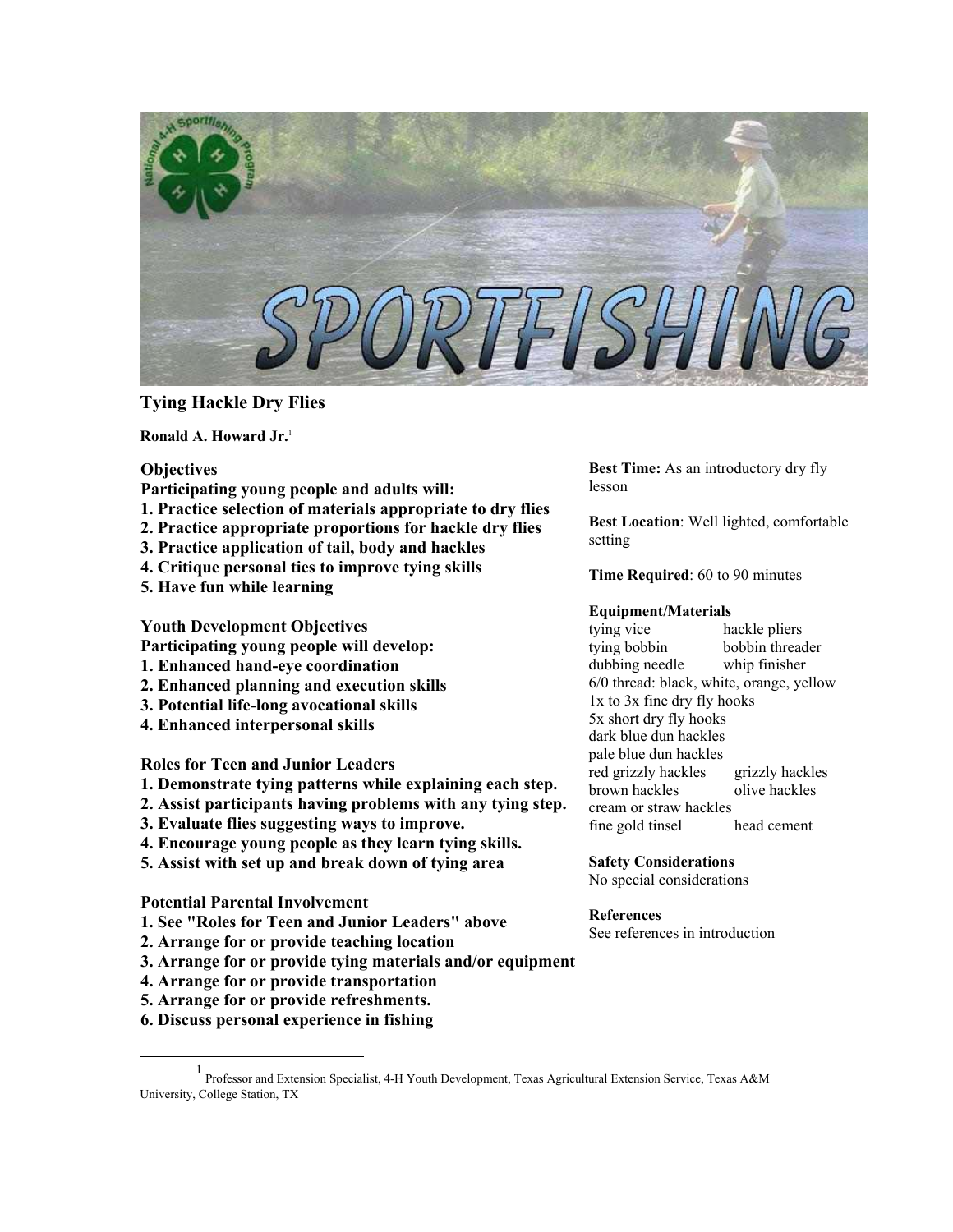

# **Tying Hackle Dry Flies**

**Ronald A. Howard Jr.** [1](#page-0-0)

### **Objectives**

- **Participating young people and adults will:**
- **1. Practice selection of materials appropriate to dry flies**
- **2. Practice appropriate proportions for hackle dry flies**
- **3. Practice application of tail, body and hackles**
- **4. Critique personal ties to improve tying skills**
- **5. Have fun while learning**

**Youth Development Objectives**

**Participating young people will develop:** 

- **1. Enhanced hand-eye coordination**
- **2. Enhanced planning and execution skills**
- **3. Potential life-long avocational skills**
- **4. Enhanced interpersonal skills**

**Roles for Teen and Junior Leaders**

- **1. Demonstrate tying patterns while explaining each step.**
- **2. Assist participants having problems with any tying step.**
- **3. Evaluate flies suggesting ways to improve.**
- **4. Encourage young people as they learn tying skills.**
- **5. Assist with set up and break down of tying area**

**Potential Parental Involvement**

- **1. See "Roles for Teen and Junior Leaders" above**
- **2. Arrange for or provide teaching location**
- **3. Arrange for or provide tying materials and/or equipment**
- **4. Arrange for or provide transportation**
- **5. Arrange for or provide refreshments.**
- **6. Discuss personal experience in fishing**

**Best Time:** As an introductory dry fly lesson

**Best Location**: Well lighted, comfortable setting

**Time Required**: 60 to 90 minutes

## **Equipment/Materials**

tying vice hackle pliers tying bobbin bobbin threader dubbing needle whip finisher 6/0 thread: black, white, orange, yellow 1x to 3x fine dry fly hooks 5x short dry fly hooks dark blue dun hackles pale blue dun hackles red grizzly hackles grizzly hackles brown hackles olive hackles cream or straw hackles fine gold tinsel head cement

**Safety Considerations**

No special considerations

### **References**

See references in introduction

<span id="page-0-0"></span><sup>&</sup>lt;u>1</u>  $1$  Professor and Extension Specialist, 4-H Youth Development, Texas Agricultural Extension Service, Texas A&M University, College Station, TX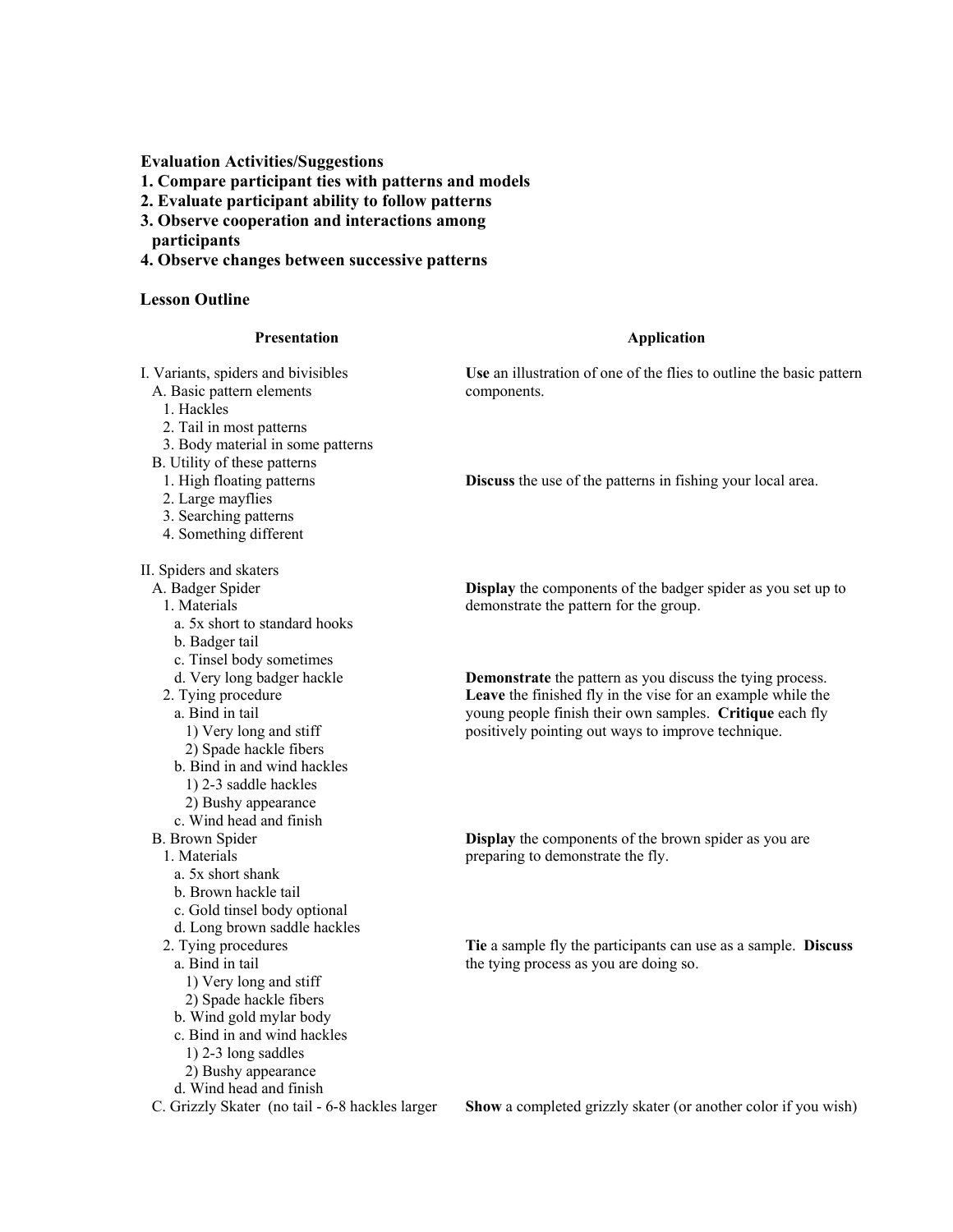**Evaluation Activities/Suggestions**

**1. Compare participant ties with patterns and models** 

**2. Evaluate participant ability to follow patterns** 

- **3. Observe cooperation and interactions among participants**
- **4. Observe changes between successive patterns**

#### **Lesson Outline**

1. Hackles

#### **Presentation**

I. Variants, spiders and bivisibles A. Basic pattern elements

2. Tail in most patterns

B. Utility of these patterns 1. High floating patterns 2. Large mayflies 3. Searching patterns 4. Something different

3. Body material in some patterns

## **Application**

**Use** an illustration of one of the flies to outline the basic pattern components.

**Discuss** the use of the patterns in fishing your local area.

II. Spiders and skaters

A. Badger Spider

1. Materials

a. 5x short to standard hooks

b. Badger tail

c. Tinsel body sometimes

d. Very long badger hackle

2. Tying procedure

a. Bind in tail

1) Very long and stiff

2) Spade hackle fibers

b. Bind in and wind hackles

1) 2-3 saddle hackles

2) Bushy appearance

c. Wind head and finish

B. Brown Spider

1. Materials

a. 5x short shank

b. Brown hackle tail

c. Gold tinsel body optional

d. Long brown saddle hackles

2. Tying procedures

a. Bind in tail

1) Very long and stiff

2) Spade hackle fibers

b. Wind gold mylar body

c. Bind in and wind hackles

1) 2-3 long saddles

2) Bushy appearance

d. Wind head and finish

C. Grizzly Skater (no tail - 6-8 hackles larger

**Display** the components of the badger spider as you set up to demonstrate the pattern for the group.

**Demonstrate** the pattern as you discuss the tying process. **Leave** the finished fly in the vise for an example while the young people finish their own samples. **Critique** each fly positively pointing out ways to improve technique.

**Display** the components of the brown spider as you are preparing to demonstrate the fly.

**Tie** a sample fly the participants can use as a sample. **Discuss** the tying process as you are doing so.

**Show** a completed grizzly skater (or another color if you wish)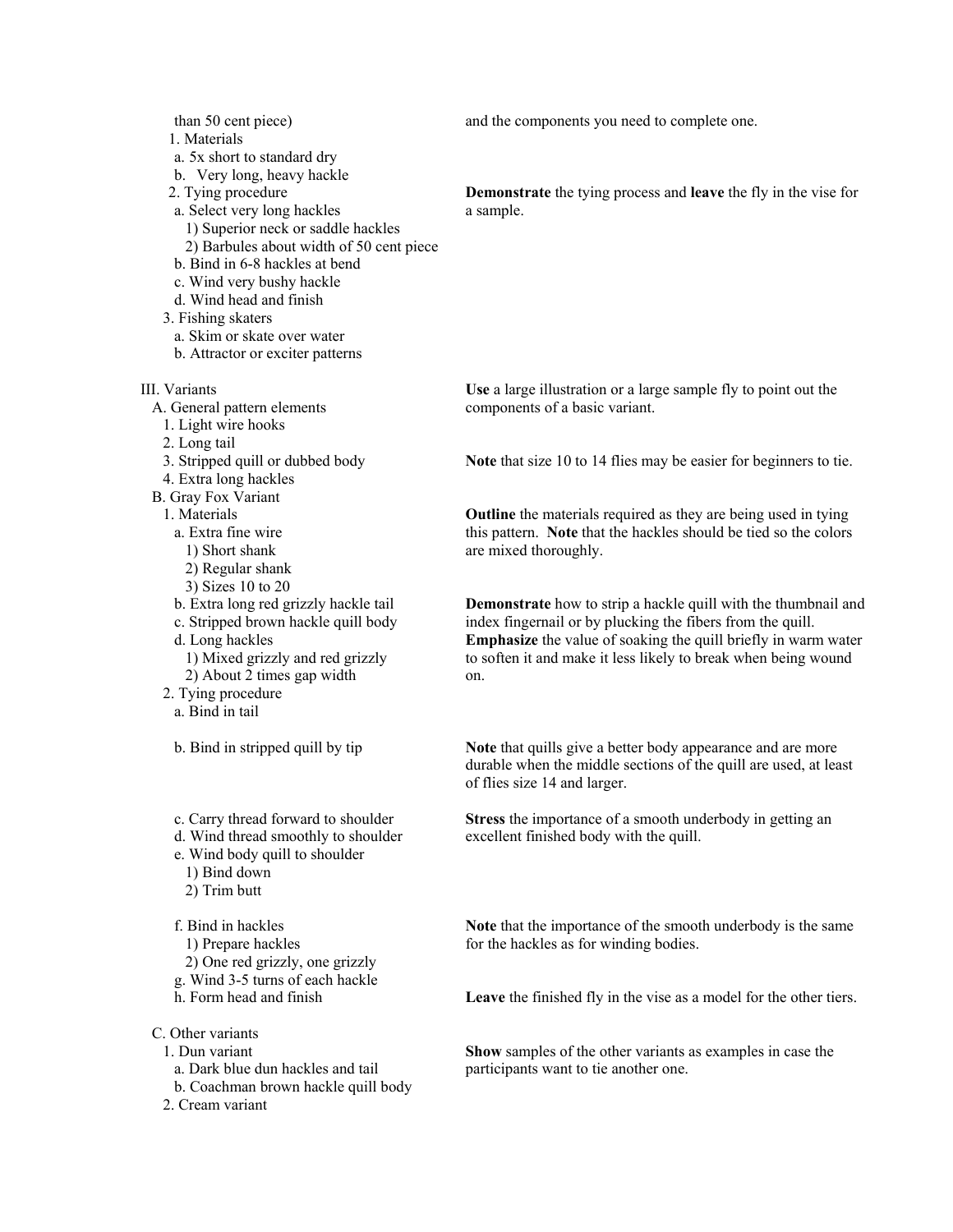than 50 cent piece)

1. Materials

a. 5x short to standard dry

b. Very long, heavy hackle

- 2. Tying procedure
- a. Select very long hackles
	- 1) Superior neck or saddle hackles
	- 2) Barbules about width of 50 cent piece
- b. Bind in 6-8 hackles at bend
- c. Wind very bushy hackle
- d. Wind head and finish
- 3. Fishing skaters
	- a. Skim or skate over water
- b. Attractor or exciter patterns

III. Variants

- A. General pattern elements
- 1. Light wire hooks
- 2. Long tail
- 3. Stripped quill or dubbed body
- 4. Extra long hackles
- B. Gray Fox Variant
	- 1. Materials
	- a. Extra fine wire
		- 1) Short shank
		- 2) Regular shank
		- 3) Sizes 10 to 20
	- b. Extra long red grizzly hackle tail
	- c. Stripped brown hackle quill body d. Long hackles
	- 1) Mixed grizzly and red grizzly 2) About 2 times gap width
	- 2. Tying procedure
		- a. Bind in tail
		- b. Bind in stripped quill by tip
		- c. Carry thread forward to shoulder
		- d. Wind thread smoothly to shoulder
		- e. Wind body quill to shoulder
			- 1) Bind down
			- 2) Trim butt

f. Bind in hackles

- 1) Prepare hackles
- 2) One red grizzly, one grizzly
- g. Wind 3-5 turns of each hackle
- h. Form head and finish
- C. Other variants
	- 1. Dun variant
	- a. Dark blue dun hackles and tail
	- b. Coachman brown hackle quill body
	- 2. Cream variant

and the components you need to complete one.

**Demonstrate** the tying process and **leave** the fly in the vise for a sample.

**Use** a large illustration or a large sample fly to point out the components of a basic variant.

**Note** that size 10 to 14 flies may be easier for beginners to tie.

**Outline** the materials required as they are being used in tying this pattern. **Note** that the hackles should be tied so the colors are mixed thoroughly.

**Demonstrate** how to strip a hackle quill with the thumbnail and index fingernail or by plucking the fibers from the quill. **Emphasize** the value of soaking the quill briefly in warm water to soften it and make it less likely to break when being wound on.

**Note** that quills give a better body appearance and are more durable when the middle sections of the quill are used, at least of flies size 14 and larger.

**Stress** the importance of a smooth underbody in getting an excellent finished body with the quill.

**Note** that the importance of the smooth underbody is the same for the hackles as for winding bodies.

**Leave** the finished fly in the vise as a model for the other tiers.

**Show** samples of the other variants as examples in case the participants want to tie another one.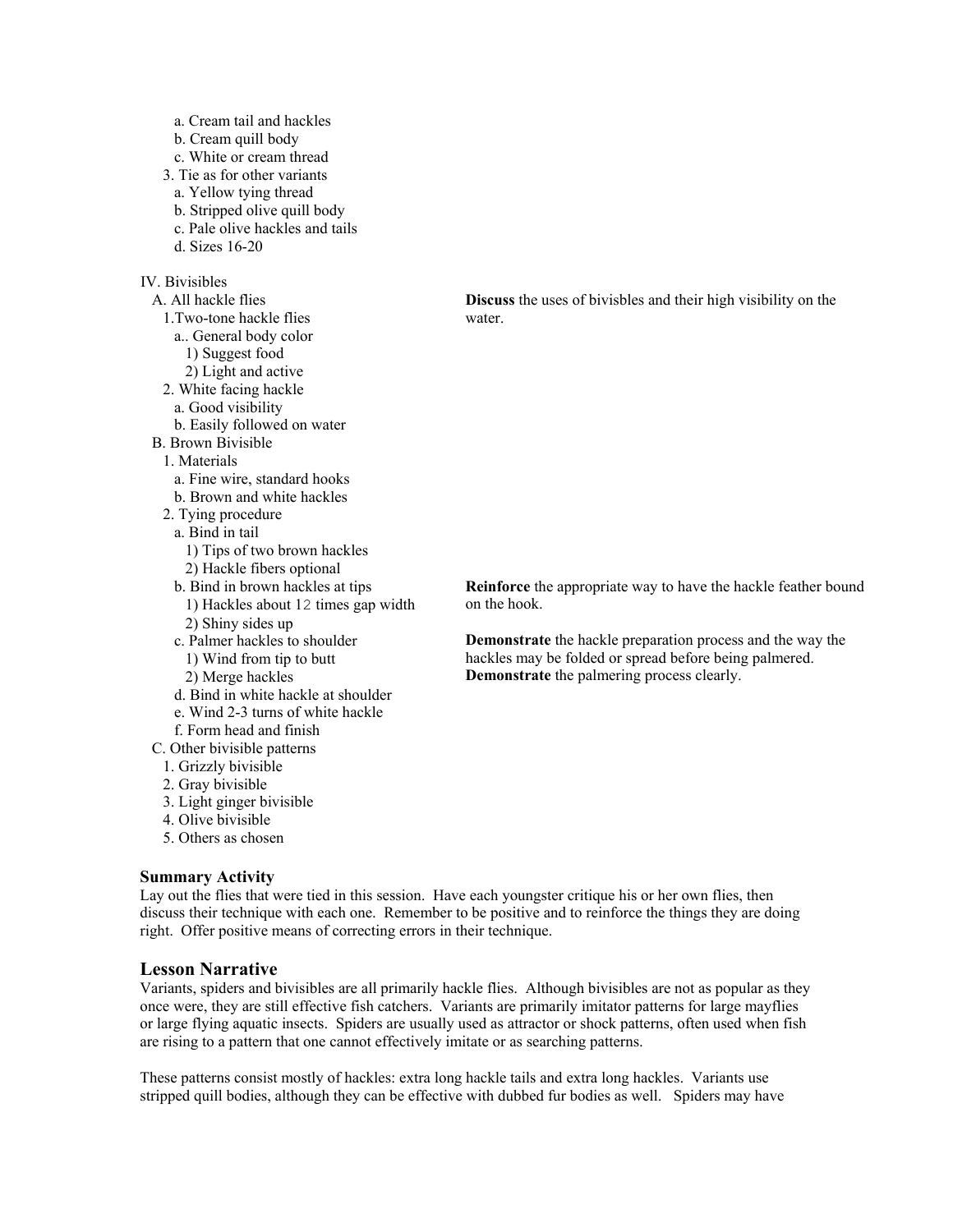- a. Cream tail and hackles
- b. Cream quill body
- c. White or cream thread
- 3. Tie as for other variants
- a. Yellow tying thread
- b. Stripped olive quill body
- c. Pale olive hackles and tails
- d. Sizes 16-20

## IV. Bivisibles

- A. All hackle flies 1.Two-tone hackle flies a.. General body color 1) Suggest food 2) Light and active 2. White facing hackle a. Good visibility b. Easily followed on water B. Brown Bivisible 1. Materials a. Fine wire, standard hooks b. Brown and white hackles 2. Tying procedure a. Bind in tail 1) Tips of two brown hackles 2) Hackle fibers optional b. Bind in brown hackles at tips 1) Hackles about 12 times gap width 2) Shiny sides up c. Palmer hackles to shoulder 1) Wind from tip to butt 2) Merge hackles d. Bind in white hackle at shoulder e. Wind 2-3 turns of white hackle f. Form head and finish C. Other bivisible patterns 1. Grizzly bivisible 2. Gray bivisible 3. Light ginger bivisible 4. Olive bivisible
	- 5. Others as chosen

#### **Summary Activity**

Lay out the flies that were tied in this session. Have each youngster critique his or her own flies, then discuss their technique with each one. Remember to be positive and to reinforce the things they are doing right. Offer positive means of correcting errors in their technique.

#### **Lesson Narrative**

Variants, spiders and bivisibles are all primarily hackle flies. Although bivisibles are not as popular as they once were, they are still effective fish catchers. Variants are primarily imitator patterns for large mayflies or large flying aquatic insects. Spiders are usually used as attractor or shock patterns, often used when fish are rising to a pattern that one cannot effectively imitate or as searching patterns.

These patterns consist mostly of hackles: extra long hackle tails and extra long hackles. Variants use stripped quill bodies, although they can be effective with dubbed fur bodies as well. Spiders may have

**Discuss** the uses of bivisbles and their high visibility on the water.

**Reinforce** the appropriate way to have the hackle feather bound on the hook.

**Demonstrate** the hackle preparation process and the way the hackles may be folded or spread before being palmered. **Demonstrate** the palmering process clearly.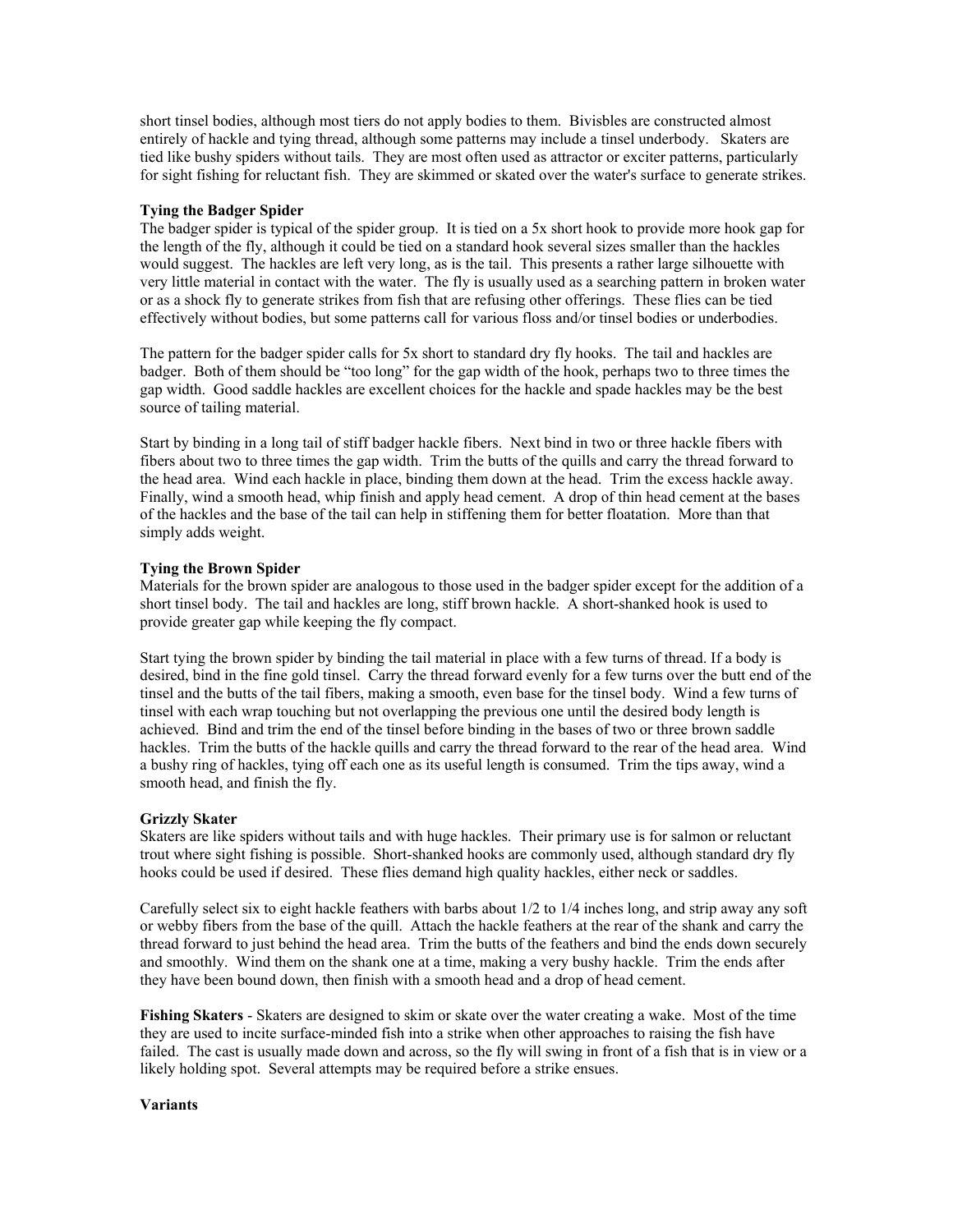short tinsel bodies, although most tiers do not apply bodies to them. Bivisbles are constructed almost entirely of hackle and tying thread, although some patterns may include a tinsel underbody. Skaters are tied like bushy spiders without tails. They are most often used as attractor or exciter patterns, particularly for sight fishing for reluctant fish. They are skimmed or skated over the water's surface to generate strikes.

#### **Tying the Badger Spider**

The badger spider is typical of the spider group. It is tied on a 5x short hook to provide more hook gap for the length of the fly, although it could be tied on a standard hook several sizes smaller than the hackles would suggest. The hackles are left very long, as is the tail. This presents a rather large silhouette with very little material in contact with the water. The fly is usually used as a searching pattern in broken water or as a shock fly to generate strikes from fish that are refusing other offerings. These flies can be tied effectively without bodies, but some patterns call for various floss and/or tinsel bodies or underbodies.

The pattern for the badger spider calls for 5x short to standard dry fly hooks. The tail and hackles are badger. Both of them should be "too long" for the gap width of the hook, perhaps two to three times the gap width. Good saddle hackles are excellent choices for the hackle and spade hackles may be the best source of tailing material.

Start by binding in a long tail of stiff badger hackle fibers. Next bind in two or three hackle fibers with fibers about two to three times the gap width. Trim the butts of the quills and carry the thread forward to the head area. Wind each hackle in place, binding them down at the head. Trim the excess hackle away. Finally, wind a smooth head, whip finish and apply head cement. A drop of thin head cement at the bases of the hackles and the base of the tail can help in stiffening them for better floatation. More than that simply adds weight.

#### **Tying the Brown Spider**

Materials for the brown spider are analogous to those used in the badger spider except for the addition of a short tinsel body. The tail and hackles are long, stiff brown hackle. A short-shanked hook is used to provide greater gap while keeping the fly compact.

Start tying the brown spider by binding the tail material in place with a few turns of thread. If a body is desired, bind in the fine gold tinsel. Carry the thread forward evenly for a few turns over the butt end of the tinsel and the butts of the tail fibers, making a smooth, even base for the tinsel body. Wind a few turns of tinsel with each wrap touching but not overlapping the previous one until the desired body length is achieved. Bind and trim the end of the tinsel before binding in the bases of two or three brown saddle hackles. Trim the butts of the hackle quills and carry the thread forward to the rear of the head area. Wind a bushy ring of hackles, tying off each one as its useful length is consumed. Trim the tips away, wind a smooth head, and finish the fly.

### **Grizzly Skater**

Skaters are like spiders without tails and with huge hackles. Their primary use is for salmon or reluctant trout where sight fishing is possible. Short-shanked hooks are commonly used, although standard dry fly hooks could be used if desired. These flies demand high quality hackles, either neck or saddles.

Carefully select six to eight hackle feathers with barbs about 1/2 to 1/4 inches long, and strip away any soft or webby fibers from the base of the quill. Attach the hackle feathers at the rear of the shank and carry the thread forward to just behind the head area. Trim the butts of the feathers and bind the ends down securely and smoothly. Wind them on the shank one at a time, making a very bushy hackle. Trim the ends after they have been bound down, then finish with a smooth head and a drop of head cement.

**Fishing Skaters** - Skaters are designed to skim or skate over the water creating a wake. Most of the time they are used to incite surface-minded fish into a strike when other approaches to raising the fish have failed. The cast is usually made down and across, so the fly will swing in front of a fish that is in view or a likely holding spot. Several attempts may be required before a strike ensues.

#### **Variants**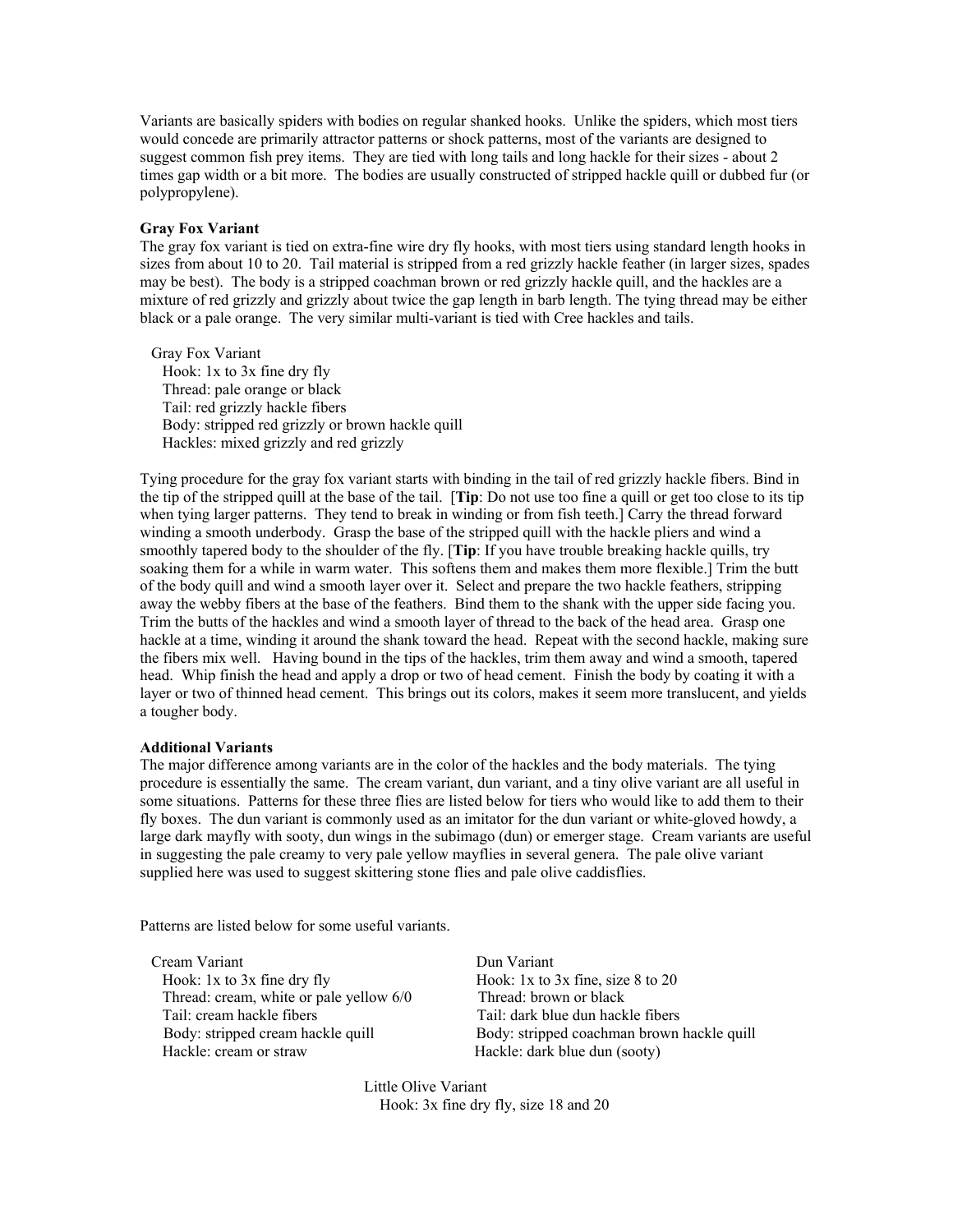Variants are basically spiders with bodies on regular shanked hooks. Unlike the spiders, which most tiers would concede are primarily attractor patterns or shock patterns, most of the variants are designed to suggest common fish prey items. They are tied with long tails and long hackle for their sizes - about 2 times gap width or a bit more. The bodies are usually constructed of stripped hackle quill or dubbed fur (or polypropylene).

#### **Gray Fox Variant**

The gray fox variant is tied on extra-fine wire dry fly hooks, with most tiers using standard length hooks in sizes from about 10 to 20. Tail material is stripped from a red grizzly hackle feather (in larger sizes, spades may be best). The body is a stripped coachman brown or red grizzly hackle quill, and the hackles are a mixture of red grizzly and grizzly about twice the gap length in barb length. The tying thread may be either black or a pale orange. The very similar multi-variant is tied with Cree hackles and tails.

Gray Fox Variant Hook: 1x to 3x fine dry fly Thread: pale orange or black Tail: red grizzly hackle fibers Body: stripped red grizzly or brown hackle quill Hackles: mixed grizzly and red grizzly

Tying procedure for the gray fox variant starts with binding in the tail of red grizzly hackle fibers. Bind in the tip of the stripped quill at the base of the tail. [**Tip**: Do not use too fine a quill or get too close to its tip when tying larger patterns. They tend to break in winding or from fish teeth.] Carry the thread forward winding a smooth underbody. Grasp the base of the stripped quill with the hackle pliers and wind a smoothly tapered body to the shoulder of the fly. [**Tip**: If you have trouble breaking hackle quills, try soaking them for a while in warm water. This softens them and makes them more flexible.] Trim the butt of the body quill and wind a smooth layer over it. Select and prepare the two hackle feathers, stripping away the webby fibers at the base of the feathers. Bind them to the shank with the upper side facing you. Trim the butts of the hackles and wind a smooth layer of thread to the back of the head area. Grasp one hackle at a time, winding it around the shank toward the head. Repeat with the second hackle, making sure the fibers mix well. Having bound in the tips of the hackles, trim them away and wind a smooth, tapered head. Whip finish the head and apply a drop or two of head cement. Finish the body by coating it with a layer or two of thinned head cement. This brings out its colors, makes it seem more translucent, and yields a tougher body.

#### **Additional Variants**

The major difference among variants are in the color of the hackles and the body materials. The tying procedure is essentially the same. The cream variant, dun variant, and a tiny olive variant are all useful in some situations. Patterns for these three flies are listed below for tiers who would like to add them to their fly boxes. The dun variant is commonly used as an imitator for the dun variant or white-gloved howdy, a large dark mayfly with sooty, dun wings in the subimago (dun) or emerger stage. Cream variants are useful in suggesting the pale creamy to very pale yellow mayflies in several genera. The pale olive variant supplied here was used to suggest skittering stone flies and pale olive caddisflies.

Patterns are listed below for some useful variants.

Cream Variant Dun Variant Hook: 1x to 3x fine dry fly Hook: 1x to 3x fine, size 8 to 20 Thread: cream, white or pale yellow 6/0 Thread: brown or black Tail: cream hackle fibers Tail: dark blue dun hackle fibers Hackle: cream or straw Hackle: dark blue dun (sooty)

Body: stripped cream hackle quill Body: stripped coachman brown hackle quill

Little Olive Variant Hook: 3x fine dry fly, size 18 and 20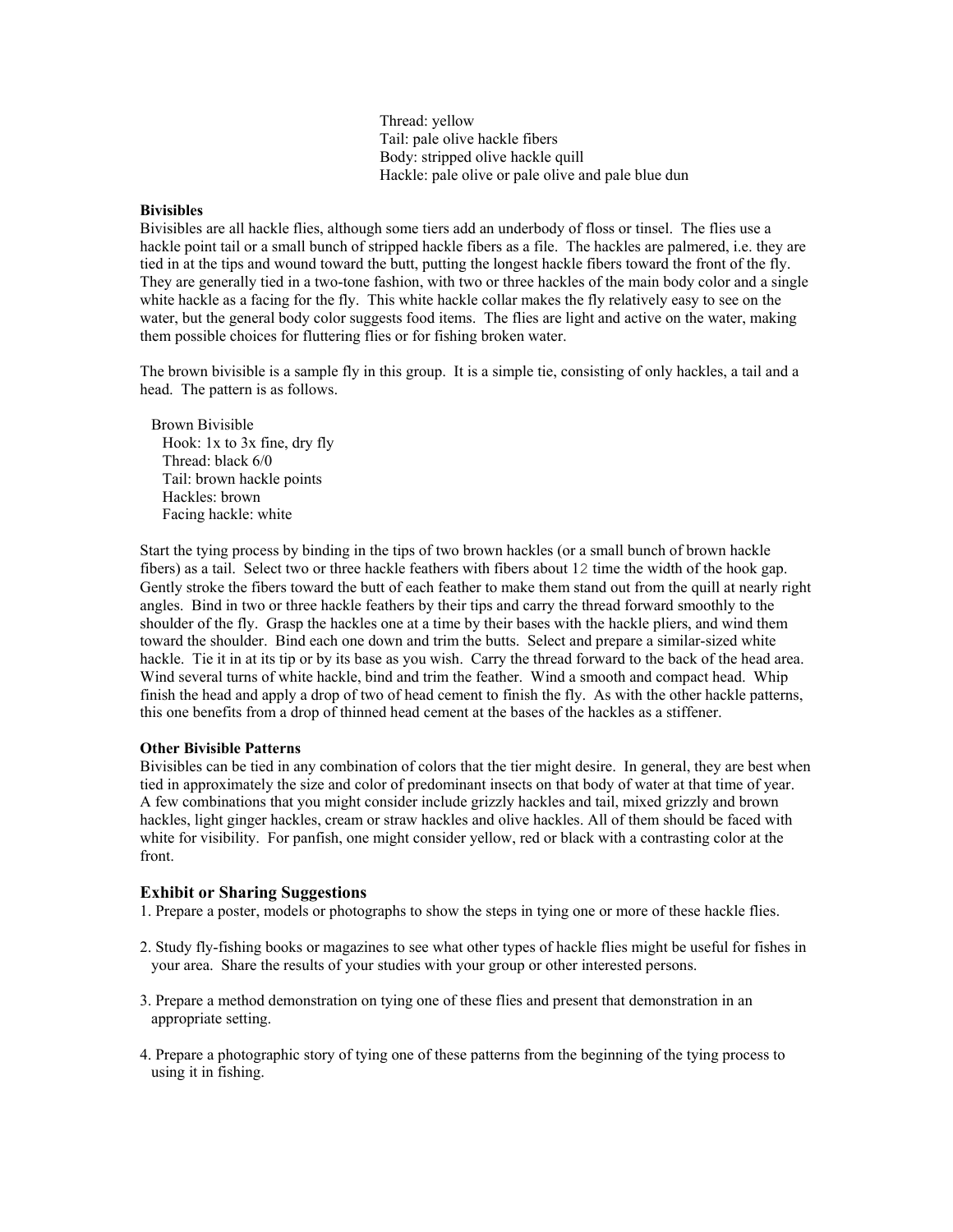Thread: yellow Tail: pale olive hackle fibers Body: stripped olive hackle quill Hackle: pale olive or pale olive and pale blue dun

#### **Bivisibles**

Bivisibles are all hackle flies, although some tiers add an underbody of floss or tinsel. The flies use a hackle point tail or a small bunch of stripped hackle fibers as a file. The hackles are palmered, i.e. they are tied in at the tips and wound toward the butt, putting the longest hackle fibers toward the front of the fly. They are generally tied in a two-tone fashion, with two or three hackles of the main body color and a single white hackle as a facing for the fly. This white hackle collar makes the fly relatively easy to see on the water, but the general body color suggests food items. The flies are light and active on the water, making them possible choices for fluttering flies or for fishing broken water.

The brown bivisible is a sample fly in this group. It is a simple tie, consisting of only hackles, a tail and a head. The pattern is as follows.

Brown Bivisible Hook: 1x to 3x fine, dry fly Thread: black 6/0 Tail: brown hackle points Hackles: brown Facing hackle: white

Start the tying process by binding in the tips of two brown hackles (or a small bunch of brown hackle fibers) as a tail. Select two or three hackle feathers with fibers about 12 time the width of the hook gap. Gently stroke the fibers toward the butt of each feather to make them stand out from the quill at nearly right angles. Bind in two or three hackle feathers by their tips and carry the thread forward smoothly to the shoulder of the fly. Grasp the hackles one at a time by their bases with the hackle pliers, and wind them toward the shoulder. Bind each one down and trim the butts. Select and prepare a similar-sized white hackle. Tie it in at its tip or by its base as you wish. Carry the thread forward to the back of the head area. Wind several turns of white hackle, bind and trim the feather. Wind a smooth and compact head. Whip finish the head and apply a drop of two of head cement to finish the fly. As with the other hackle patterns, this one benefits from a drop of thinned head cement at the bases of the hackles as a stiffener.

#### **Other Bivisible Patterns**

Bivisibles can be tied in any combination of colors that the tier might desire. In general, they are best when tied in approximately the size and color of predominant insects on that body of water at that time of year. A few combinations that you might consider include grizzly hackles and tail, mixed grizzly and brown hackles, light ginger hackles, cream or straw hackles and olive hackles. All of them should be faced with white for visibility. For panfish, one might consider yellow, red or black with a contrasting color at the front.

### **Exhibit or Sharing Suggestions**

1. Prepare a poster, models or photographs to show the steps in tying one or more of these hackle flies.

- 2. Study fly-fishing books or magazines to see what other types of hackle flies might be useful for fishes in your area. Share the results of your studies with your group or other interested persons.
- 3. Prepare a method demonstration on tying one of these flies and present that demonstration in an appropriate setting.
- 4. Prepare a photographic story of tying one of these patterns from the beginning of the tying process to using it in fishing.